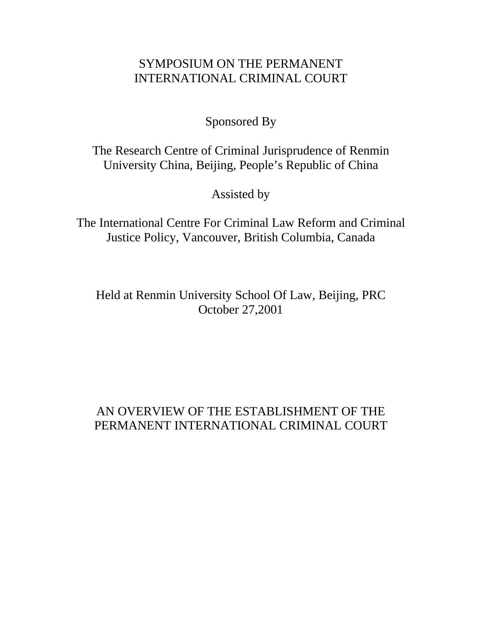# SYMPOSIUM ON THE PERMANENT INTERNATIONAL CRIMINAL COURT

Sponsored By

The Research Centre of Criminal Jurisprudence of Renmin University China, Beijing, People's Republic of China

Assisted by

The International Centre For Criminal Law Reform and Criminal Justice Policy, Vancouver, British Columbia, Canada

Held at Renmin University School Of Law, Beijing, PRC October 27,2001

# AN OVERVIEW OF THE ESTABLISHMENT OF THE PERMANENT INTERNATIONAL CRIMINAL COURT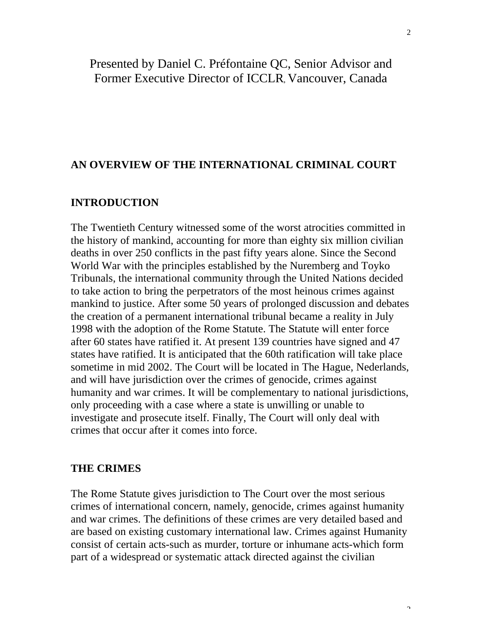# Presented by Daniel C. Préfontaine QC, Senior Advisor and Former Executive Director of ICCLR, Vancouver, Canada

### **AN OVERVIEW OF THE INTERNATIONAL CRIMINAL COURT**

#### **INTRODUCTION**

The Twentieth Century witnessed some of the worst atrocities committed in the history of mankind, accounting for more than eighty six million civilian deaths in over 250 conflicts in the past fifty years alone. Since the Second World War with the principles established by the Nuremberg and Toyko Tribunals, the international community through the United Nations decided to take action to bring the perpetrators of the most heinous crimes against mankind to justice. After some 50 years of prolonged discussion and debates the creation of a permanent international tribunal became a reality in July 1998 with the adoption of the Rome Statute. The Statute will enter force after 60 states have ratified it. At present 139 countries have signed and 47 states have ratified. It is anticipated that the 60th ratification will take place sometime in mid 2002. The Court will be located in The Hague, Nederlands, and will have jurisdiction over the crimes of genocide, crimes against humanity and war crimes. It will be complementary to national jurisdictions, only proceeding with a case where a state is unwilling or unable to investigate and prosecute itself. Finally, The Court will only deal with crimes that occur after it comes into force.

### **THE CRIMES**

The Rome Statute gives jurisdiction to The Court over the most serious crimes of international concern, namely, genocide, crimes against humanity and war crimes. The definitions of these crimes are very detailed based and are based on existing customary international law. Crimes against Humanity consist of certain acts-such as murder, torture or inhumane acts-which form part of a widespread or systematic attack directed against the civilian

 $\bigcap$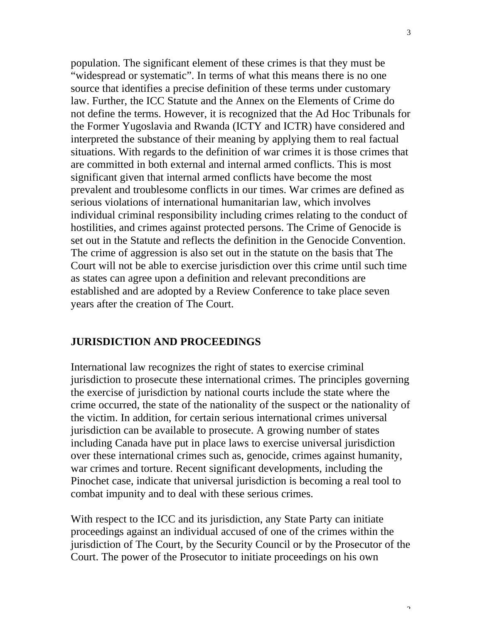population. The significant element of these crimes is that they must be "widespread or systematic". In terms of what this means there is no one source that identifies a precise definition of these terms under customary law. Further, the ICC Statute and the Annex on the Elements of Crime do not define the terms. However, it is recognized that the Ad Hoc Tribunals for the Former Yugoslavia and Rwanda (ICTY and ICTR) have considered and interpreted the substance of their meaning by applying them to real factual situations. With regards to the definition of war crimes it is those crimes that are committed in both external and internal armed conflicts. This is most significant given that internal armed conflicts have become the most prevalent and troublesome conflicts in our times. War crimes are defined as serious violations of international humanitarian law, which involves individual criminal responsibility including crimes relating to the conduct of hostilities, and crimes against protected persons. The Crime of Genocide is set out in the Statute and reflects the definition in the Genocide Convention. The crime of aggression is also set out in the statute on the basis that The Court will not be able to exercise jurisdiction over this crime until such time as states can agree upon a definition and relevant preconditions are established and are adopted by a Review Conference to take place seven years after the creation of The Court.

### **JURISDICTION AND PROCEEDINGS**

International law recognizes the right of states to exercise criminal jurisdiction to prosecute these international crimes. The principles governing the exercise of jurisdiction by national courts include the state where the crime occurred, the state of the nationality of the suspect or the nationality of the victim. In addition, for certain serious international crimes universal jurisdiction can be available to prosecute. A growing number of states including Canada have put in place laws to exercise universal jurisdiction over these international crimes such as, genocide, crimes against humanity, war crimes and torture. Recent significant developments, including the Pinochet case, indicate that universal jurisdiction is becoming a real tool to combat impunity and to deal with these serious crimes.

With respect to the ICC and its jurisdiction, any State Party can initiate proceedings against an individual accused of one of the crimes within the jurisdiction of The Court, by the Security Council or by the Prosecutor of the Court. The power of the Prosecutor to initiate proceedings on his own

 $\mathcal{L}$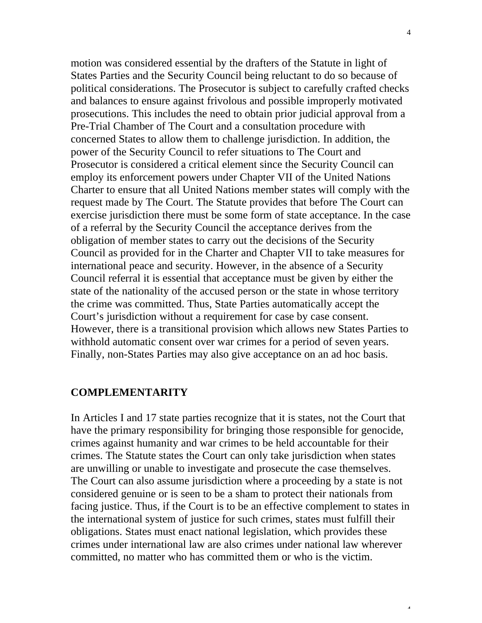motion was considered essential by the drafters of the Statute in light of States Parties and the Security Council being reluctant to do so because of political considerations. The Prosecutor is subject to carefully crafted checks and balances to ensure against frivolous and possible improperly motivated prosecutions. This includes the need to obtain prior judicial approval from a Pre-Trial Chamber of The Court and a consultation procedure with concerned States to allow them to challenge jurisdiction. In addition, the power of the Security Council to refer situations to The Court and Prosecutor is considered a critical element since the Security Council can employ its enforcement powers under Chapter VII of the United Nations Charter to ensure that all United Nations member states will comply with the request made by The Court. The Statute provides that before The Court can exercise jurisdiction there must be some form of state acceptance. In the case of a referral by the Security Council the acceptance derives from the obligation of member states to carry out the decisions of the Security Council as provided for in the Charter and Chapter VII to take measures for international peace and security. However, in the absence of a Security Council referral it is essential that acceptance must be given by either the state of the nationality of the accused person or the state in whose territory the crime was committed. Thus, State Parties automatically accept the Court's jurisdiction without a requirement for case by case consent. However, there is a transitional provision which allows new States Parties to withhold automatic consent over war crimes for a period of seven years. Finally, non-States Parties may also give acceptance on an ad hoc basis.

#### **COMPLEMENTARITY**

In Articles I and 17 state parties recognize that it is states, not the Court that have the primary responsibility for bringing those responsible for genocide, crimes against humanity and war crimes to be held accountable for their crimes. The Statute states the Court can only take jurisdiction when states are unwilling or unable to investigate and prosecute the case themselves. The Court can also assume jurisdiction where a proceeding by a state is not considered genuine or is seen to be a sham to protect their nationals from facing justice. Thus, if the Court is to be an effective complement to states in the international system of justice for such crimes, states must fulfill their obligations. States must enact national legislation, which provides these crimes under international law are also crimes under national law wherever committed, no matter who has committed them or who is the victim.

4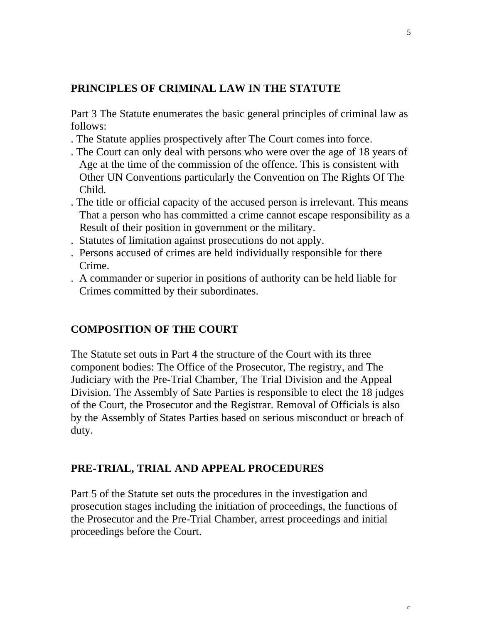# **PRINCIPLES OF CRIMINAL LAW IN THE STATUTE**

Part 3 The Statute enumerates the basic general principles of criminal law as follows:

- . The Statute applies prospectively after The Court comes into force.
- . The Court can only deal with persons who were over the age of 18 years of Age at the time of the commission of the offence. This is consistent with Other UN Conventions particularly the Convention on The Rights Of The Child.
- . The title or official capacity of the accused person is irrelevant. This means That a person who has committed a crime cannot escape responsibility as a Result of their position in government or the military.
- . Statutes of limitation against prosecutions do not apply.
- . Persons accused of crimes are held individually responsible for there Crime.
- . A commander or superior in positions of authority can be held liable for Crimes committed by their subordinates.

# **COMPOSITION OF THE COURT**

The Statute set outs in Part 4 the structure of the Court with its three component bodies: The Office of the Prosecutor, The registry, and The Judiciary with the Pre-Trial Chamber, The Trial Division and the Appeal Division. The Assembly of Sate Parties is responsible to elect the 18 judges of the Court, the Prosecutor and the Registrar. Removal of Officials is also by the Assembly of States Parties based on serious misconduct or breach of duty.

# **PRE-TRIAL, TRIAL AND APPEAL PROCEDURES**

Part 5 of the Statute set outs the procedures in the investigation and prosecution stages including the initiation of proceedings, the functions of the Prosecutor and the Pre-Trial Chamber, arrest proceedings and initial proceedings before the Court.

 $\epsilon$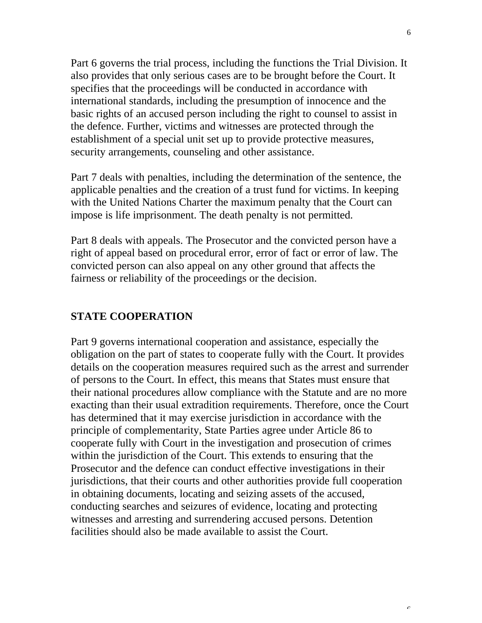Part 6 governs the trial process, including the functions the Trial Division. It also provides that only serious cases are to be brought before the Court. It specifies that the proceedings will be conducted in accordance with international standards, including the presumption of innocence and the basic rights of an accused person including the right to counsel to assist in the defence. Further, victims and witnesses are protected through the establishment of a special unit set up to provide protective measures, security arrangements, counseling and other assistance.

Part 7 deals with penalties, including the determination of the sentence, the applicable penalties and the creation of a trust fund for victims. In keeping with the United Nations Charter the maximum penalty that the Court can impose is life imprisonment. The death penalty is not permitted.

Part 8 deals with appeals. The Prosecutor and the convicted person have a right of appeal based on procedural error, error of fact or error of law. The convicted person can also appeal on any other ground that affects the fairness or reliability of the proceedings or the decision.

## **STATE COOPERATION**

Part 9 governs international cooperation and assistance, especially the obligation on the part of states to cooperate fully with the Court. It provides details on the cooperation measures required such as the arrest and surrender of persons to the Court. In effect, this means that States must ensure that their national procedures allow compliance with the Statute and are no more exacting than their usual extradition requirements. Therefore, once the Court has determined that it may exercise jurisdiction in accordance with the principle of complementarity, State Parties agree under Article 86 to cooperate fully with Court in the investigation and prosecution of crimes within the jurisdiction of the Court. This extends to ensuring that the Prosecutor and the defence can conduct effective investigations in their jurisdictions, that their courts and other authorities provide full cooperation in obtaining documents, locating and seizing assets of the accused, conducting searches and seizures of evidence, locating and protecting witnesses and arresting and surrendering accused persons. Detention facilities should also be made available to assist the Court.

 $\epsilon$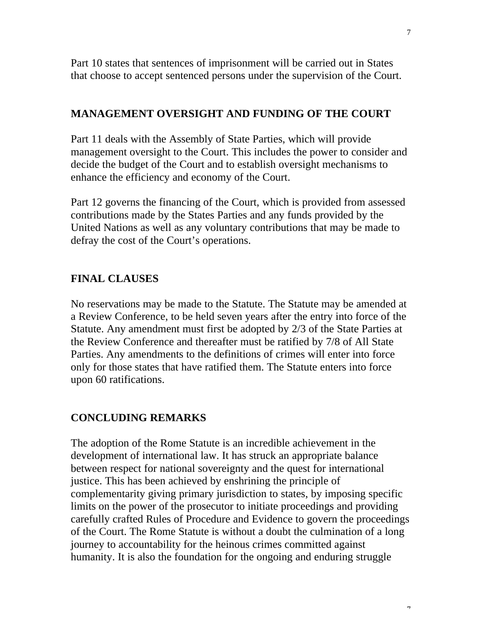Part 10 states that sentences of imprisonment will be carried out in States that choose to accept sentenced persons under the supervision of the Court.

### **MANAGEMENT OVERSIGHT AND FUNDING OF THE COURT**

Part 11 deals with the Assembly of State Parties, which will provide management oversight to the Court. This includes the power to consider and decide the budget of the Court and to establish oversight mechanisms to enhance the efficiency and economy of the Court.

Part 12 governs the financing of the Court, which is provided from assessed contributions made by the States Parties and any funds provided by the United Nations as well as any voluntary contributions that may be made to defray the cost of the Court's operations.

## **FINAL CLAUSES**

No reservations may be made to the Statute. The Statute may be amended at a Review Conference, to be held seven years after the entry into force of the Statute. Any amendment must first be adopted by 2/3 of the State Parties at the Review Conference and thereafter must be ratified by 7/8 of All State Parties. Any amendments to the definitions of crimes will enter into force only for those states that have ratified them. The Statute enters into force upon 60 ratifications.

#### **CONCLUDING REMARKS**

The adoption of the Rome Statute is an incredible achievement in the development of international law. It has struck an appropriate balance between respect for national sovereignty and the quest for international justice. This has been achieved by enshrining the principle of complementarity giving primary jurisdiction to states, by imposing specific limits on the power of the prosecutor to initiate proceedings and providing carefully crafted Rules of Procedure and Evidence to govern the proceedings of the Court. The Rome Statute is without a doubt the culmination of a long journey to accountability for the heinous crimes committed against humanity. It is also the foundation for the ongoing and enduring struggle

 $\overline{7}$